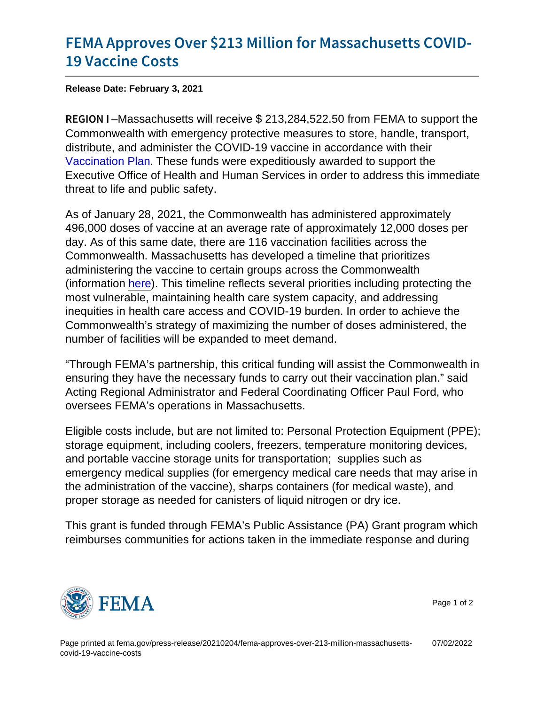## [FEMA Approves Over \\$213 Million fo](https://www.fema.gov/press-release/20210204/fema-approves-over-213-million-massachusetts-covid-19-vaccine-costs)r Mas [19 Vaccin](https://www.fema.gov/press-release/20210204/fema-approves-over-213-million-massachusetts-covid-19-vaccine-costs)e Costs

Release Date: February 3, 2021

REGION Massachusetts will receive \$ 213,284,522.50 from FEMA to support the Commonwealth with emergency protective measures to store, handle, transport, distribute, and administer the COVID-19 vaccine in accordance with their [Vaccination Plan](https://www.mass.gov/info-details/massachusetts-covid-19-vaccination-data-and-updates#massachusetts-interim-draft-covid-19-vaccine-plan-and-executive-summary-). These funds were expeditiously awarded to support the Executive Office of Health and Human Services in order to address this immediate threat to life and public safety.

As of January 28, 2021, the Commonwealth has administered approximately 496,000 doses of vaccine at an average rate of approximately 12,000 doses per day. As of this same date, there are 116 vaccination facilities across the Commonwealth. Massachusetts has developed a timeline that prioritizes administering the vaccine to certain groups across the Commonwealth (information [here\)](https://www.mass.gov/info-details/covid-19-vaccine-distribution-timeline-phase-overview). This timeline reflects several priorities including protecting the most vulnerable, maintaining health care system capacity, and addressing inequities in health care access and COVID-19 burden. In order to achieve the Commonwealth's strategy of maximizing the number of doses administered, the number of facilities will be expanded to meet demand.

"Through FEMA's partnership, this critical funding will assist the Commonwealth in ensuring they have the necessary funds to carry out their vaccination plan." said Acting Regional Administrator and Federal Coordinating Officer Paul Ford, who oversees FEMA's operations in Massachusetts.

Eligible costs include, but are not limited to: Personal Protection Equipment (PPE); storage equipment, including coolers, freezers, temperature monitoring devices, and portable vaccine storage units for transportation; supplies such as emergency medical supplies (for emergency medical care needs that may arise in the administration of the vaccine), sharps containers (for medical waste), and proper storage as needed for canisters of liquid nitrogen or dry ice.

This grant is funded through FEMA's Public Assistance (PA) Grant program which reimburses communities for actions taken in the immediate response and during



Page 1 of 2